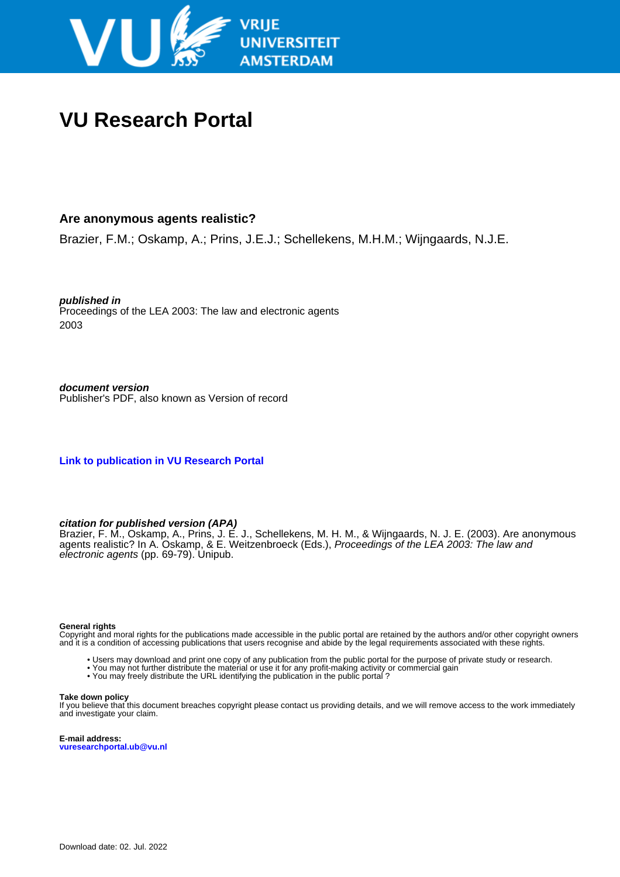

# **VU Research Portal**

#### **Are anonymous agents realistic?**

Brazier, F.M.; Oskamp, A.; Prins, J.E.J.; Schellekens, M.H.M.; Wijngaards, N.J.E.

**published in** Proceedings of the LEA 2003: The law and electronic agents 2003

**document version** Publisher's PDF, also known as Version of record

**[Link to publication in VU Research Portal](https://research.vu.nl/en/publications/0296af98-0cbd-4c4c-b39f-d212c35a0b33)**

#### **citation for published version (APA)**

Brazier, F. M., Oskamp, A., Prins, J. E. J., Schellekens, M. H. M., & Wijngaards, N. J. E. (2003). Are anonymous agents realistic? In A. Oskamp, & E. Weitzenbroeck (Eds.), Proceedings of the LEA 2003: The law and electronic agents (pp. 69-79). Unipub.

#### **General rights**

Copyright and moral rights for the publications made accessible in the public portal are retained by the authors and/or other copyright owners and it is a condition of accessing publications that users recognise and abide by the legal requirements associated with these rights.

- Users may download and print one copy of any publication from the public portal for the purpose of private study or research.
- You may not further distribute the material or use it for any profit-making activity or commercial gain
- You may freely distribute the URL identifying the publication in the public portal ?

#### **Take down policy**

If you believe that this document breaches copyright please contact us providing details, and we will remove access to the work immediately and investigate your claim.

**E-mail address: vuresearchportal.ub@vu.nl**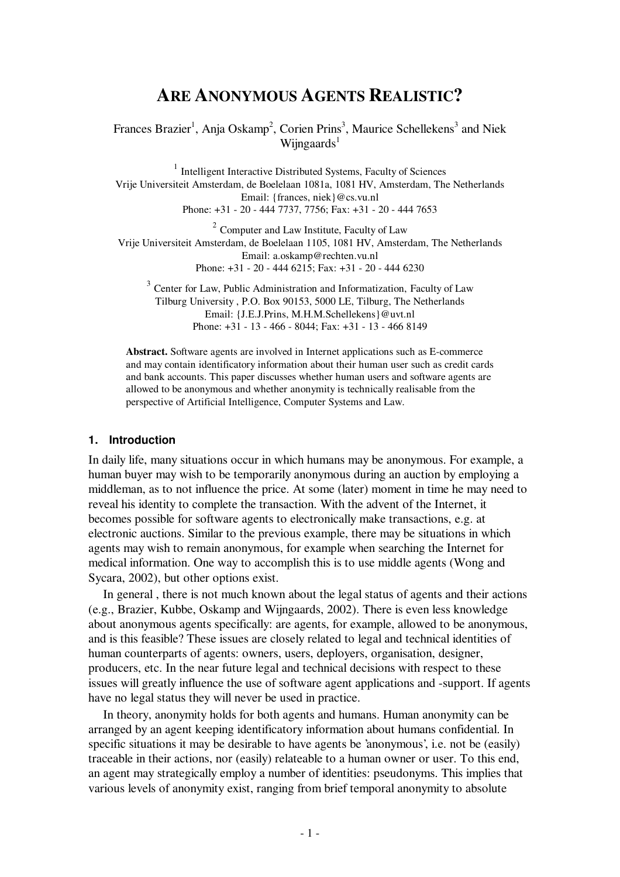## **ARE ANONYMOUS AGENTS REALISTIC?**

Frances Brazier<sup>1</sup>, Anja Oskamp<sup>2</sup>, Corien Prins<sup>3</sup>, Maurice Schellekens<sup>3</sup> and Niek Wijngaards<sup>1</sup>

<sup>1</sup> Intelligent Interactive Distributed Systems, Faculty of Sciences Vrije Universiteit Amsterdam, de Boelelaan 1081a, 1081 HV, Amsterdam, The Netherlands Email: {frances, niek}@cs.vu.nl Phone: +31 - 20 - 444 7737, 7756; Fax: +31 - 20 - 444 7653

 $2$  Computer and Law Institute, Faculty of Law Vrije Universiteit Amsterdam, de Boelelaan 1105, 1081 HV, Amsterdam, The Netherlands Email: a.oskamp@rechten.vu.nl Phone: +31 - 20 - 444 6215; Fax: +31 - 20 - 444 6230

 $3$  Center for Law, Public Administration and Informatization, Faculty of Law Tilburg University , P.O. Box 90153, 5000 LE, Tilburg, The Netherlands Email: {J.E.J.Prins, M.H.M.Schellekens}@uvt.nl Phone: +31 - 13 - 466 - 8044; Fax: +31 - 13 - 466 8149

**Abstract.** Software agents are involved in Internet applications such as E-commerce and may contain identificatory information about their human user such as credit cards and bank accounts. This paper discusses whether human users and software agents are allowed to be anonymous and whether anonymity is technically realisable from the perspective of Artificial Intelligence, Computer Systems and Law.

#### **1. Introduction**

In daily life, many situations occur in which humans may be anonymous. For example, a human buyer may wish to be temporarily anonymous during an auction by employing a middleman, as to not influence the price. At some (later) moment in time he may need to reveal his identity to complete the transaction. With the advent of the Internet, it becomes possible for software agents to electronically make transactions, e.g. at electronic auctions. Similar to the previous example, there may be situations in which agents may wish to remain anonymous, for example when searching the Internet for medical information. One way to accomplish this is to use middle agents (Wong and Sycara, 2002), but other options exist.

In general , there is not much known about the legal status of agents and their actions (e.g., Brazier, Kubbe, Oskamp and Wijngaards, 2002). There is even less knowledge about anonymous agents specifically: are agents, for example, allowed to be anonymous, and is this feasible? These issues are closely related to legal and technical identities of human counterparts of agents: owners, users, deployers, organisation, designer, producers, etc. In the near future legal and technical decisions with respect to these issues will greatly influence the use of software agent applications and -support. If agents have no legal status they will never be used in practice.

In theory, anonymity holds for both agents and humans. Human anonymity can be arranged by an agent keeping identificatory information about humans confidential. In specific situations it may be desirable to have agents be 'anonymous', i.e. not be (easily) traceable in their actions, nor (easily) relateable to a human owner or user. To this end, an agent may strategically employ a number of identities: pseudonyms. This implies that various levels of anonymity exist, ranging from brief temporal anonymity to absolute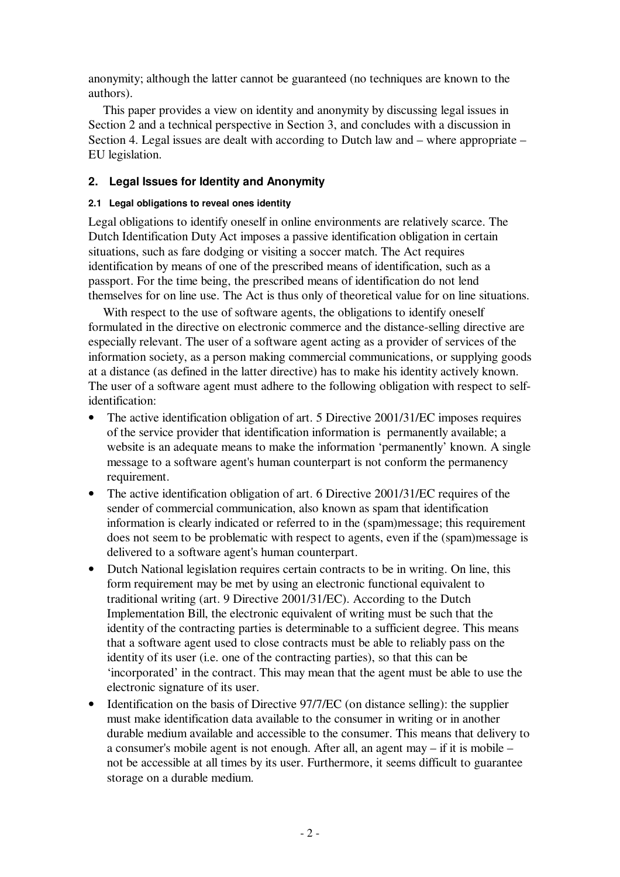anonymity; although the latter cannot be guaranteed (no techniques are known to the authors).

This paper provides a view on identity and anonymity by discussing legal issues in Section 2 and a technical perspective in Section 3, and concludes with a discussion in Section 4. Legal issues are dealt with according to Dutch law and – where appropriate – EU legislation.

## **2. Legal Issues for Identity and Anonymity**

#### **2.1 Legal obligations to reveal ones identity**

Legal obligations to identify oneself in online environments are relatively scarce. The Dutch Identification Duty Act imposes a passive identification obligation in certain situations, such as fare dodging or visiting a soccer match. The Act requires identification by means of one of the prescribed means of identification, such as a passport. For the time being, the prescribed means of identification do not lend themselves for on line use. The Act is thus only of theoretical value for on line situations.

With respect to the use of software agents, the obligations to identify oneself formulated in the directive on electronic commerce and the distance-selling directive are especially relevant. The user of a software agent acting as a provider of services of the information society, as a person making commercial communications, or supplying goods at a distance (as defined in the latter directive) has to make his identity actively known. The user of a software agent must adhere to the following obligation with respect to selfidentification:

- The active identification obligation of art. 5 Directive 2001/31/EC imposes requires of the service provider that identification information is permanently available; a website is an adequate means to make the information 'permanently' known. A single message to a software agent's human counterpart is not conform the permanency requirement.
- The active identification obligation of art. 6 Directive 2001/31/EC requires of the sender of commercial communication, also known as spam that identification information is clearly indicated or referred to in the (spam)message; this requirement does not seem to be problematic with respect to agents, even if the (spam)message is delivered to a software agent's human counterpart.
- Dutch National legislation requires certain contracts to be in writing. On line, this form requirement may be met by using an electronic functional equivalent to traditional writing (art. 9 Directive 2001/31/EC). According to the Dutch Implementation Bill, the electronic equivalent of writing must be such that the identity of the contracting parties is determinable to a sufficient degree. This means that a software agent used to close contracts must be able to reliably pass on the identity of its user (i.e. one of the contracting parties), so that this can be 'incorporated' in the contract. This may mean that the agent must be able to use the electronic signature of its user.
- Identification on the basis of Directive 97/7/EC (on distance selling): the supplier must make identification data available to the consumer in writing or in another durable medium available and accessible to the consumer. This means that delivery to a consumer's mobile agent is not enough. After all, an agent may – if it is mobile – not be accessible at all times by its user. Furthermore, it seems difficult to guarantee storage on a durable medium.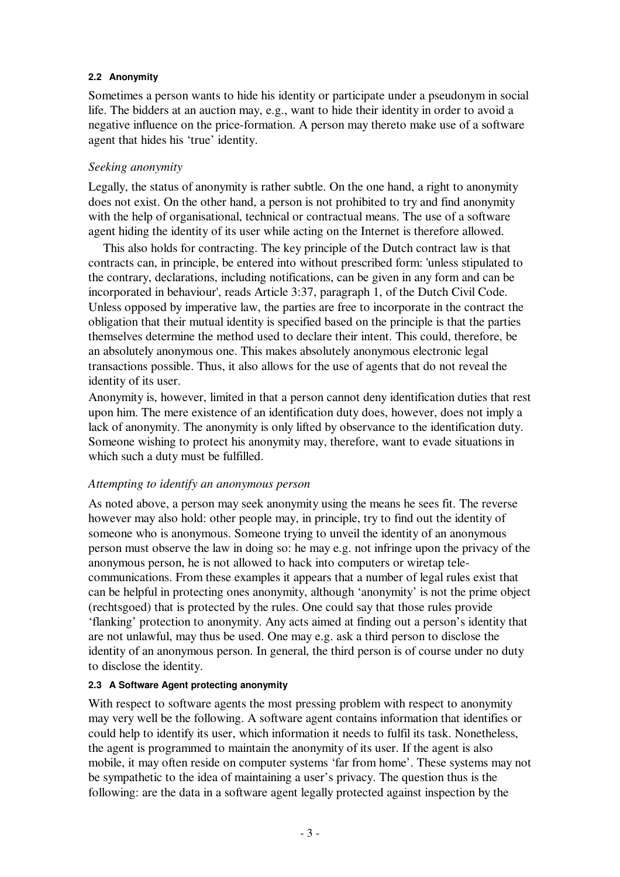#### **2.2 Anonymity**

Sometimes a person wants to hide his identity or participate under a pseudonym in social life. The bidders at an auction may, e.g., want to hide their identity in order to avoid a negative influence on the price-formation. A person may thereto make use of a software agent that hides his 'true' identity.

## *Seeking anonymity*

Legally, the status of anonymity is rather subtle. On the one hand, a right to anonymity does not exist. On the other hand, a person is not prohibited to try and find anonymity with the help of organisational, technical or contractual means. The use of a software agent hiding the identity of its user while acting on the Internet is therefore allowed.

This also holds for contracting. The key principle of the Dutch contract law is that contracts can, in principle, be entered into without prescribed form: 'unless stipulated to the contrary, declarations, including notifications, can be given in any form and can be incorporated in behaviour', reads Article 3:37, paragraph 1, of the Dutch Civil Code. Unless opposed by imperative law, the parties are free to incorporate in the contract the obligation that their mutual identity is specified based on the principle is that the parties themselves determine the method used to declare their intent. This could, therefore, be an absolutely anonymous one. This makes absolutely anonymous electronic legal transactions possible. Thus, it also allows for the use of agents that do not reveal the identity of its user.

Anonymity is, however, limited in that a person cannot deny identification duties that rest upon him. The mere existence of an identification duty does, however, does not imply a lack of anonymity. The anonymity is only lifted by observance to the identification duty. Someone wishing to protect his anonymity may, therefore, want to evade situations in which such a duty must be fulfilled.

#### *Attempting to identify an anonymous person*

As noted above, a person may seek anonymity using the means he sees fit. The reverse however may also hold: other people may, in principle, try to find out the identity of someone who is anonymous. Someone trying to unveil the identity of an anonymous person must observe the law in doing so: he may e.g. not infringe upon the privacy of the anonymous person, he is not allowed to hack into computers or wiretap telecommunications. From these examples it appears that a number of legal rules exist that can be helpful in protecting ones anonymity, although 'anonymity' is not the prime object (rechtsgoed) that is protected by the rules. One could say that those rules provide 'flanking' protection to anonymity. Any acts aimed at finding out a person's identity that are not unlawful, may thus be used. One may e.g. ask a third person to disclose the identity of an anonymous person. In general, the third person is of course under no duty to disclose the identity.

#### **2.3 A Software Agent protecting anonymity**

With respect to software agents the most pressing problem with respect to anonymity may very well be the following. A software agent contains information that identifies or could help to identify its user, which information it needs to fulfil its task. Nonetheless, the agent is programmed to maintain the anonymity of its user. If the agent is also mobile, it may often reside on computer systems 'far from home' . These systems may not be sympathetic to the idea of maintaining a user's privacy. The question thus is the following: are the data in a software agent legally protected against inspection by the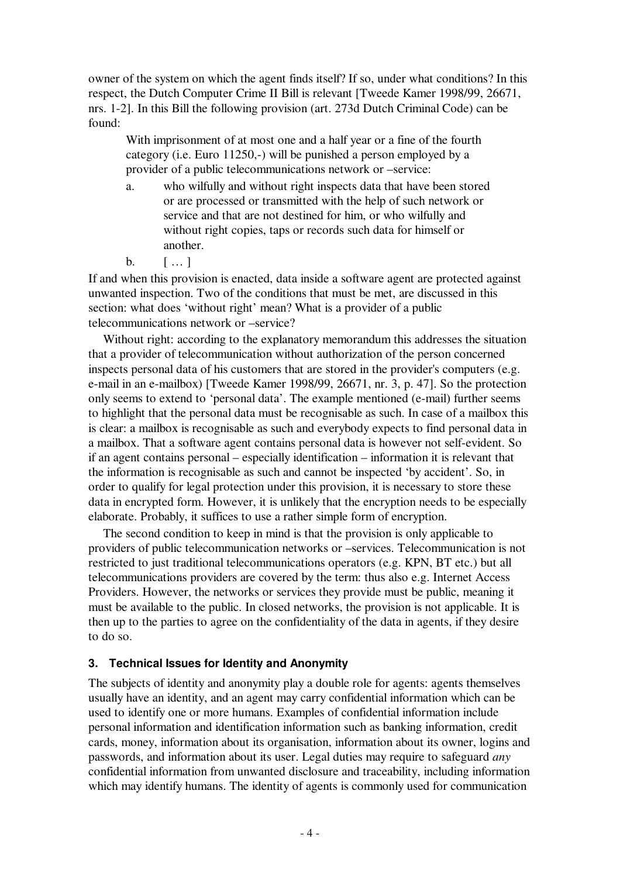owner of the system on which the agent finds itself? If so, under what conditions? In this respect, the Dutch Computer Crime II Bill is relevant [Tweede Kamer 1998/99, 26671, nrs. 1-2]. In this Bill the following provision (art. 273d Dutch Criminal Code) can be found:

With imprisonment of at most one and a half year or a fine of the fourth category (i.e. Euro 11250,-) will be punished a person employed by a provider of a public telecommunications network or –service:

- a. who wilfully and without right inspects data that have been stored or are processed or transmitted with the help of such network or service and that are not destined for him, or who wilfully and without right copies, taps or records such data for himself or another.
- $b. \qquad [ ... ]$

If and when this provision is enacted, data inside a software agent are protected against unwanted inspection. Two of the conditions that must be met, are discussed in this section: what does 'without right' mean? What is a provider of a public telecommunications network or –service?

Without right: according to the explanatory memorandum this addresses the situation that a provider of telecommunication without authorization of the person concerned inspects personal data of his customers that are stored in the provider's computers (e.g. e-mail in an e-mailbox) [Tweede Kamer 1998/99, 26671, nr. 3, p. 47]. So the protection only seems to extend to 'personal data' . The example mentioned (e-mail) further seems to highlight that the personal data must be recognisable as such. In case of a mailbox this is clear: a mailbox is recognisable as such and everybody expects to find personal data in a mailbox. That a software agent contains personal data is however not self-evident. So if an agent contains personal – especially identification – information it is relevant that the information is recognisable as such and cannot be inspected 'by accident' . So, in order to qualify for legal protection under this provision, it is necessary to store these data in encrypted form. However, it is unlikely that the encryption needs to be especially elaborate. Probably, it suffices to use a rather simple form of encryption.

The second condition to keep in mind is that the provision is only applicable to providers of public telecommunication networks or –services. Telecommunication is not restricted to just traditional telecommunications operators (e.g. KPN, BT etc.) but all telecommunications providers are covered by the term: thus also e.g. Internet Access Providers. However, the networks or services they provide must be public, meaning it must be available to the public. In closed networks, the provision is not applicable. It is then up to the parties to agree on the confidentiality of the data in agents, if they desire to do so.

## **3. Technical Issues for Identity and Anonymity**

The subjects of identity and anonymity play a double role for agents: agents themselves usually have an identity, and an agent may carry confidential information which can be used to identify one or more humans. Examples of confidential information include personal information and identification information such as banking information, credit cards, money, information about its organisation, information about its owner, logins and passwords, and information about its user. Legal duties may require to safeguard *any* confidential information from unwanted disclosure and traceability, including information which may identify humans. The identity of agents is commonly used for communication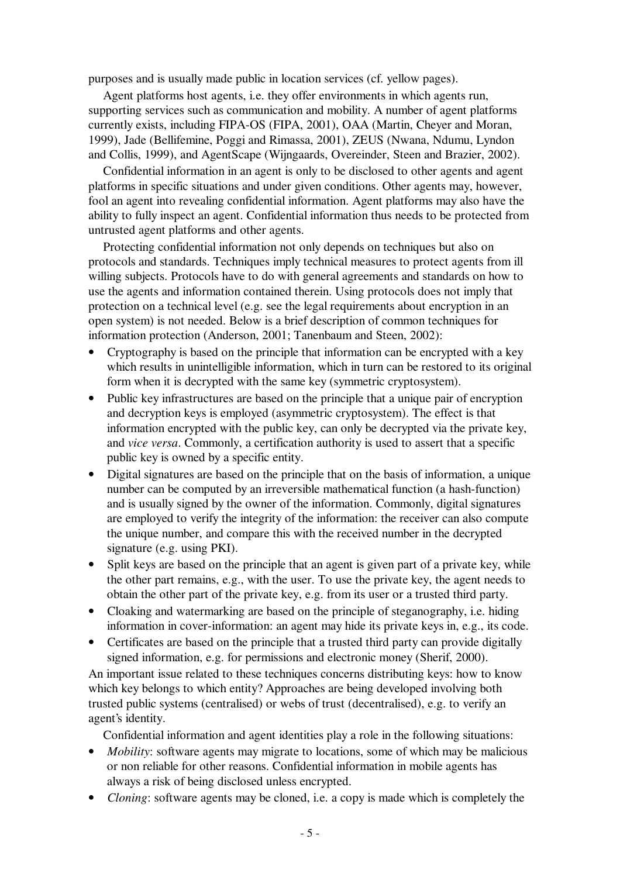purposes and is usually made public in location services (cf. yellow pages).

Agent platforms host agents, i.e. they offer environments in which agents run, supporting services such as communication and mobility. A number of agent platforms currently exists, including FIPA-OS (FIPA, 2001), OAA (Martin, Cheyer and Moran, 1999), Jade (Bellifemine, Poggi and Rimassa, 2001), ZEUS (Nwana, Ndumu, Lyndon and Collis, 1999), and AgentScape (Wijngaards, Overeinder, Steen and Brazier, 2002).

Confidential information in an agent is only to be disclosed to other agents and agent platforms in specific situations and under given conditions. Other agents may, however, fool an agent into revealing confidential information. Agent platforms may also have the ability to fully inspect an agent. Confidential information thus needs to be protected from untrusted agent platforms and other agents.

Protecting confidential information not only depends on techniques but also on protocols and standards. Techniques imply technical measures to protect agents from ill willing subjects. Protocols have to do with general agreements and standards on how to use the agents and information contained therein. Using protocols does not imply that protection on a technical level (e.g. see the legal requirements about encryption in an open system) is not needed. Below is a brief description of common techniques for information protection (Anderson, 2001; Tanenbaum and Steen, 2002):

- Cryptography is based on the principle that information can be encrypted with a key which results in unintelligible information, which in turn can be restored to its original form when it is decrypted with the same key (symmetric cryptosystem).
- Public key infrastructures are based on the principle that a unique pair of encryption and decryption keys is employed (asymmetric cryptosystem). The effect is that information encrypted with the public key, can only be decrypted via the private key, and *vice versa*. Commonly, a certification authority is used to assert that a specific public key is owned by a specific entity.
- Digital signatures are based on the principle that on the basis of information, a unique number can be computed by an irreversible mathematical function (a hash-function) and is usually signed by the owner of the information. Commonly, digital signatures are employed to verify the integrity of the information: the receiver can also compute the unique number, and compare this with the received number in the decrypted signature (e.g. using PKI).
- Split keys are based on the principle that an agent is given part of a private key, while the other part remains, e.g., with the user. To use the private key, the agent needs to obtain the other part of the private key, e.g. from its user or a trusted third party.
- Cloaking and watermarking are based on the principle of steganography, i.e. hiding information in cover-information: an agent may hide its private keys in, e.g., its code.
- Certificates are based on the principle that a trusted third party can provide digitally signed information, e.g. for permissions and electronic money (Sherif, 2000).

An important issue related to these techniques concerns distributing keys: how to know which key belongs to which entity? Approaches are being developed involving both trusted public systems (centralised) or webs of trust (decentralised), e.g. to verify an agent's identity.

Confidential information and agent identities play a role in the following situations:

- *Mobility:* software agents may migrate to locations, some of which may be malicious or non reliable for other reasons. Confidential information in mobile agents has always a risk of being disclosed unless encrypted.
- *Cloning*: software agents may be cloned, i.e. a copy is made which is completely the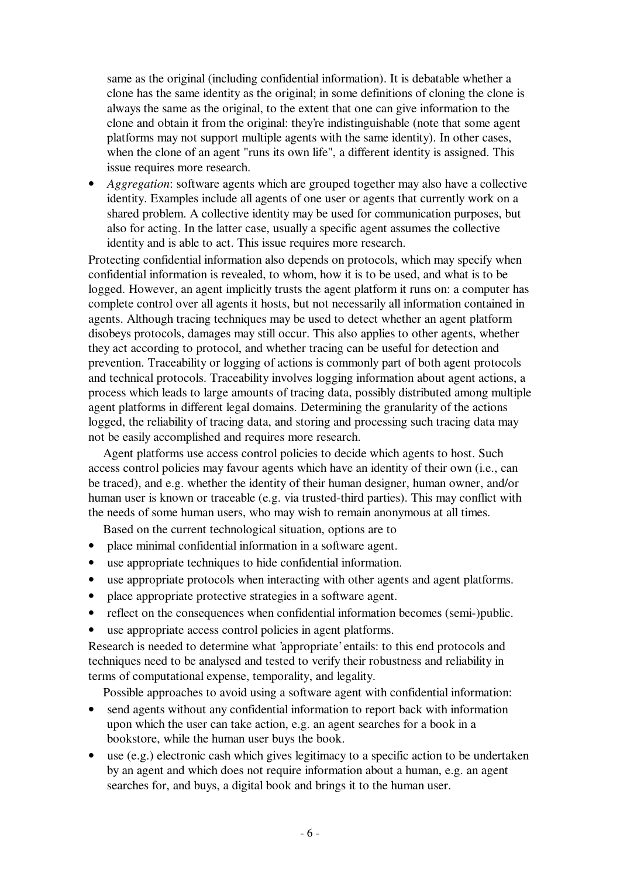same as the original (including confidential information). It is debatable whether a clone has the same identity as the original; in some definitions of cloning the clone is always the same as the original, to the extent that one can give information to the clone and obtain it from the original: they're indistinguishable (note that some agent platforms may not support multiple agents with the same identity). In other cases, when the clone of an agent "runs its own life", a different identity is assigned. This issue requires more research.

• *Aggregation*: software agents which are grouped together may also have a collective identity. Examples include all agents of one user or agents that currently work on a shared problem. A collective identity may be used for communication purposes, but also for acting. In the latter case, usually a specific agent assumes the collective identity and is able to act. This issue requires more research.

Protecting confidential information also depends on protocols, which may specify when confidential information is revealed, to whom, how it is to be used, and what is to be logged. However, an agent implicitly trusts the agent platform it runs on: a computer has complete control over all agents it hosts, but not necessarily all information contained in agents. Although tracing techniques may be used to detect whether an agent platform disobeys protocols, damages may still occur. This also applies to other agents, whether they act according to protocol, and whether tracing can be useful for detection and prevention. Traceability or logging of actions is commonly part of both agent protocols and technical protocols. Traceability involves logging information about agent actions, a process which leads to large amounts of tracing data, possibly distributed among multiple agent platforms in different legal domains. Determining the granularity of the actions logged, the reliability of tracing data, and storing and processing such tracing data may not be easily accomplished and requires more research.

Agent platforms use access control policies to decide which agents to host. Such access control policies may favour agents which have an identity of their own (i.e., can be traced), and e.g. whether the identity of their human designer, human owner, and/or human user is known or traceable (e.g. via trusted-third parties). This may conflict with the needs of some human users, who may wish to remain anonymous at all times.

Based on the current technological situation, options are to

- place minimal confidential information in a software agent.
- use appropriate techniques to hide confidential information.
- use appropriate protocols when interacting with other agents and agent platforms.
- place appropriate protective strategies in a software agent.
- reflect on the consequences when confidential information becomes (semi-)public.
- use appropriate access control policies in agent platforms.

Research is needed to determine what 'appropriate'entails: to this end protocols and techniques need to be analysed and tested to verify their robustness and reliability in terms of computational expense, temporality, and legality.

Possible approaches to avoid using a software agent with confidential information:

- send agents without any confidential information to report back with information upon which the user can take action, e.g. an agent searches for a book in a bookstore, while the human user buys the book.
- use (e.g.) electronic cash which gives legitimacy to a specific action to be undertaken by an agent and which does not require information about a human, e.g. an agent searches for, and buys, a digital book and brings it to the human user.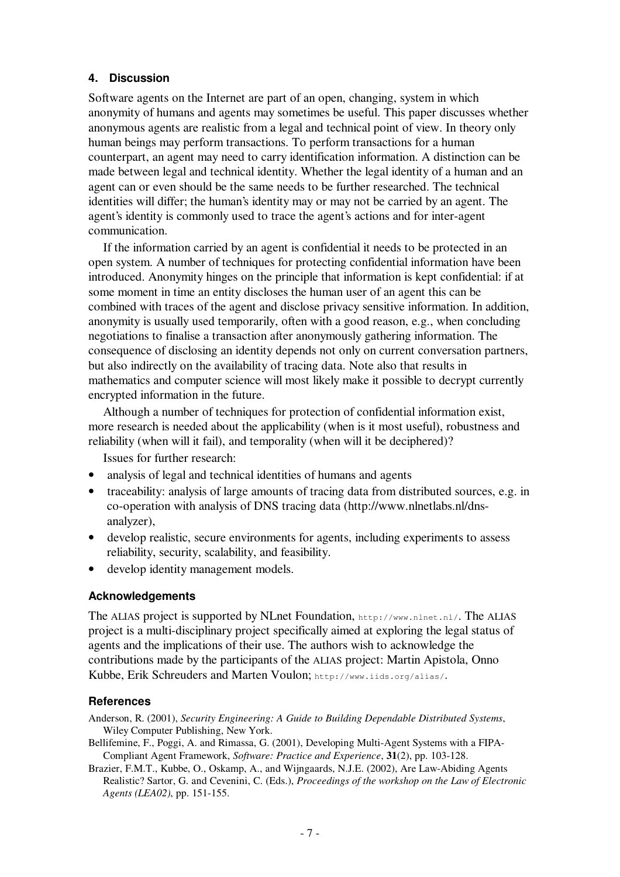#### **4. Discussion**

Software agents on the Internet are part of an open, changing, system in which anonymity of humans and agents may sometimes be useful. This paper discusses whether anonymous agents are realistic from a legal and technical point of view. In theory only human beings may perform transactions. To perform transactions for a human counterpart, an agent may need to carry identification information. A distinction can be made between legal and technical identity. Whether the legal identity of a human and an agent can or even should be the same needs to be further researched. The technical identities will differ; the human's identity may or may not be carried by an agent. The agent's identity is commonly used to trace the agent's actions and for inter-agent communication.

If the information carried by an agent is confidential it needs to be protected in an open system. A number of techniques for protecting confidential information have been introduced. Anonymity hinges on the principle that information is kept confidential: if at some moment in time an entity discloses the human user of an agent this can be combined with traces of the agent and disclose privacy sensitive information. In addition, anonymity is usually used temporarily, often with a good reason, e.g., when concluding negotiations to finalise a transaction after anonymously gathering information. The consequence of disclosing an identity depends not only on current conversation partners, but also indirectly on the availability of tracing data. Note also that results in mathematics and computer science will most likely make it possible to decrypt currently encrypted information in the future.

Although a number of techniques for protection of confidential information exist, more research is needed about the applicability (when is it most useful), robustness and reliability (when will it fail), and temporality (when will it be deciphered)?

Issues for further research:

- analysis of legal and technical identities of humans and agents
- traceability: analysis of large amounts of tracing data from distributed sources, e.g. in co-operation with analysis of DNS tracing data (http://www.nlnetlabs.nl/dnsanalyzer),
- develop realistic, secure environments for agents, including experiments to assess reliability, security, scalability, and feasibility.
- develop identity management models.

#### **Acknowledgements**

The ALIAS project is supported by NLnet Foundation, http://www.nlnet.nl/. The ALIAS project is a multi-disciplinary project specifically aimed at exploring the legal status of agents and the implications of their use. The authors wish to acknowledge the contributions made by the participants of the ALIAS project: Martin Apistola, Onno Kubbe, Erik Schreuders and Marten Voulon; http://www.iids.org/alias/.

#### **References**

Anderson, R. (2001), *Security Engineering: A Guide to Building Dependable Distributed Systems*, Wiley Computer Publishing, New York.

- Bellifemine, F., Poggi, A. and Rimassa, G. (2001), Developing Multi-Agent Systems with a FIPA-Compliant Agent Framework, *Software: Practice and Experience*, **31**(2), pp. 103-128.
- Brazier, F.M.T., Kubbe, O., Oskamp, A., and Wijngaards, N.J.E. (2002), Are Law-Abiding Agents Realistic? Sartor, G. and Cevenini, C. (Eds.), *Proceedings of the workshop on the Law of Electronic Agents (LEA02)*, pp. 151-155.